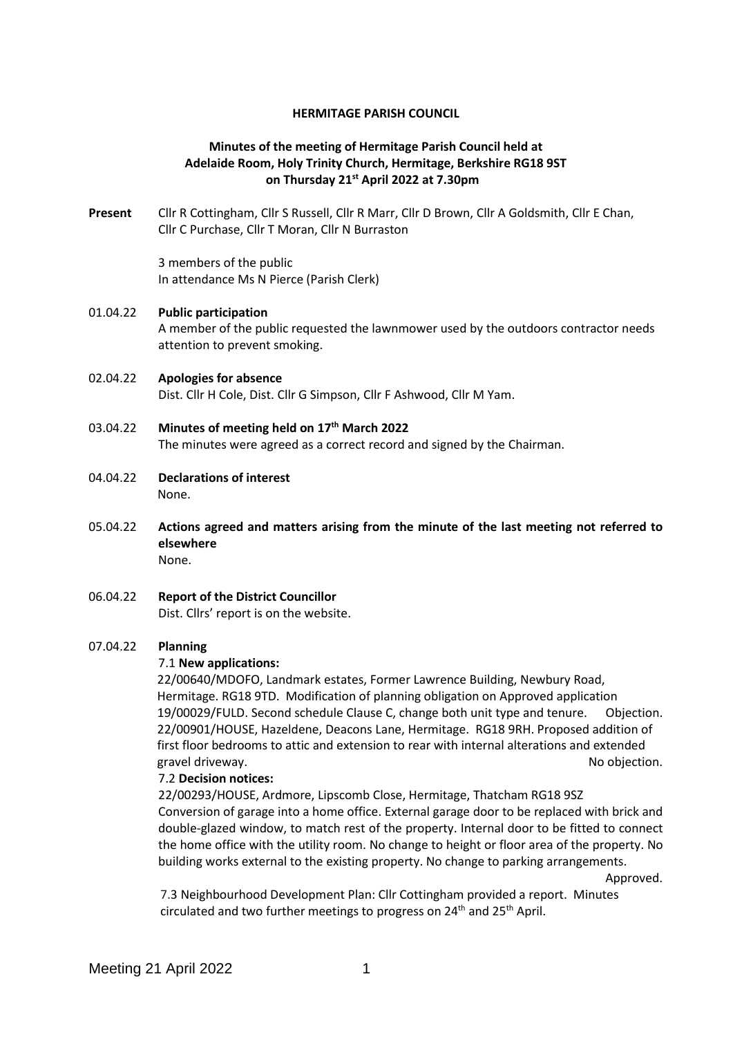### **HERMITAGE PARISH COUNCIL**

## **Minutes of the meeting of Hermitage Parish Council held at Adelaide Room, Holy Trinity Church, Hermitage, Berkshire RG18 9ST on Thursday 21st April 2022 at 7.30pm**

**Present** Cllr R Cottingham, Cllr S Russell, Cllr R Marr, Cllr D Brown, Cllr A Goldsmith, Cllr E Chan, Cllr C Purchase, Cllr T Moran, Cllr N Burraston

> 3 members of the public In attendance Ms N Pierce (Parish Clerk)

## 01.04.22 **Public participation**

A member of the public requested the lawnmower used by the outdoors contractor needs attention to prevent smoking.

02.04.22 **Apologies for absence** Dist. Cllr H Cole, Dist. Cllr G Simpson, Cllr F Ashwood, Cllr M Yam.

## 03.04.22 **Minutes of meeting held on 17th March 2022** The minutes were agreed as a correct record and signed by the Chairman.

- 04.04.22 **Declarations of interest** None.
- 05.04.22 **Actions agreed and matters arising from the minute of the last meeting not referred to elsewhere** None.
- 06.04.22 **Report of the District Councillor** Dist. Cllrs' report is on the website.

### 07.04.22 **Planning**

### 7.1 **New applications:**

22/00640/MDOFO, Landmark estates, Former Lawrence Building, Newbury Road, Hermitage. RG18 9TD. Modification of planning obligation on Approved application 19/00029/FULD. Second schedule Clause C, change both unit type and tenure. Objection. 22/00901/HOUSE, Hazeldene, Deacons Lane, Hermitage. RG18 9RH. Proposed addition of first floor bedrooms to attic and extension to rear with internal alterations and extended gravel driveway. The contract of the contract of the contract of the contract of the contract of the contract of the contract of the contract of the contract of the contract of the contract of the contract of the contract

### 7.2 **Decision notices:**

22/00293/HOUSE, Ardmore, Lipscomb Close, Hermitage, Thatcham RG18 9SZ Conversion of garage into a home office. External garage door to be replaced with brick and double-glazed window, to match rest of the property. Internal door to be fitted to connect the home office with the utility room. No change to height or floor area of the property. No building works external to the existing property. No change to parking arrangements.

Approved.

7.3 Neighbourhood Development Plan: Cllr Cottingham provided a report. Minutes circulated and two further meetings to progress on  $24<sup>th</sup>$  and  $25<sup>th</sup>$  April.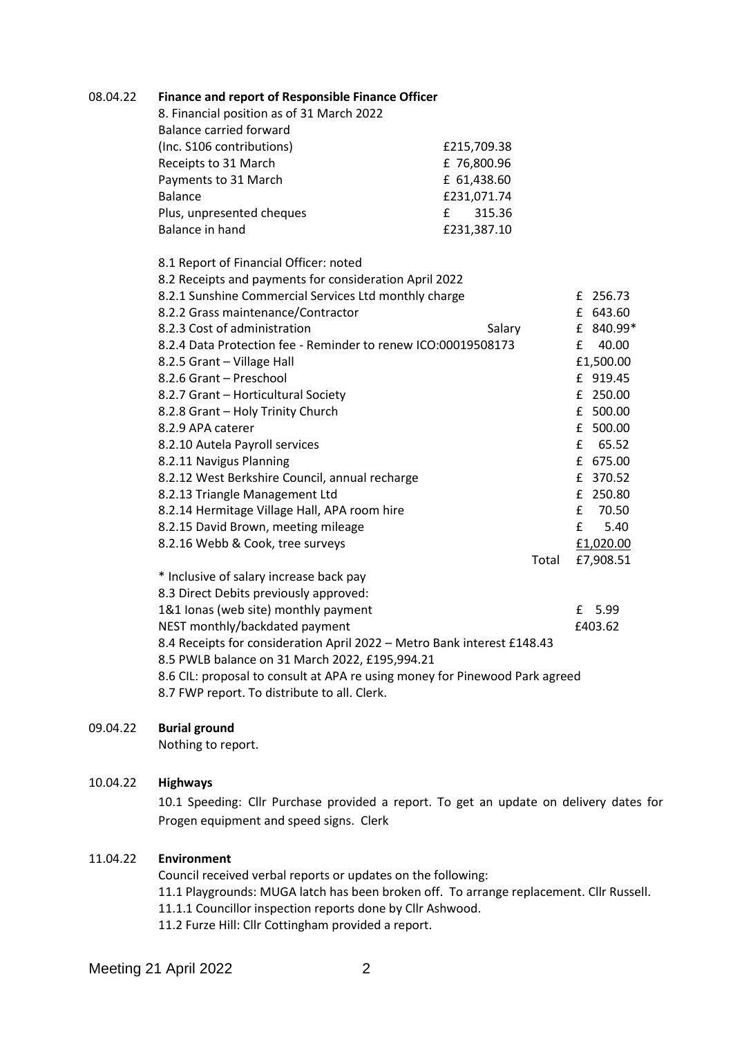| 8. Financial position as of 31 March 2022                                   |             |            |
|-----------------------------------------------------------------------------|-------------|------------|
| <b>Balance carried forward</b>                                              |             |            |
| (Inc. S106 contributions)                                                   | £215,709.38 |            |
| Receipts to 31 March                                                        | £76,800.96  |            |
| Payments to 31 March                                                        | £ 61,438.60 |            |
| <b>Balance</b>                                                              | £231,071.74 |            |
| Plus, unpresented cheques                                                   | f<br>315.36 |            |
| Balance in hand                                                             | £231,387.10 |            |
| 8.1 Report of Financial Officer: noted                                      |             |            |
| 8.2 Receipts and payments for consideration April 2022                      |             |            |
| 8.2.1 Sunshine Commercial Services Ltd monthly charge                       |             | £ 256.73   |
| 8.2.2 Grass maintenance/Contractor                                          |             | £ 643.60   |
| 8.2.3 Cost of administration                                                | Salary      | £ 840.99*  |
| 8.2.4 Data Protection fee - Reminder to renew ICO:00019508173               |             | 40.00<br>£ |
| 8.2.5 Grant - Village Hall                                                  |             | £1,500.00  |
| 8.2.6 Grant - Preschool                                                     |             | £ 919.45   |
| 8.2.7 Grant - Horticultural Society                                         |             | £ 250.00   |
| 8.2.8 Grant - Holy Trinity Church                                           |             | £ 500.00   |
| 8.2.9 APA caterer                                                           |             | £ 500.00   |
| 8.2.10 Autela Payroll services                                              |             | £ 65.52    |
| 8.2.11 Navigus Planning                                                     |             | £ 675.00   |
| 8.2.12 West Berkshire Council, annual recharge                              |             | £ 370.52   |
| 8.2.13 Triangle Management Ltd                                              |             | £ 250.80   |
| 8.2.14 Hermitage Village Hall, APA room hire                                |             | £<br>70.50 |
| 8.2.15 David Brown, meeting mileage                                         |             | £<br>5.40  |
| 8.2.16 Webb & Cook, tree surveys                                            |             | £1,020.00  |
|                                                                             | Total       | £7,908.51  |
| * Inclusive of salary increase back pay                                     |             |            |
| 8.3 Direct Debits previously approved:                                      |             |            |
| 1&1 Ionas (web site) monthly payment                                        |             | £ 5.99     |
| NEST monthly/backdated payment                                              |             | £403.62    |
| 8.4 Receipts for consideration April 2022 - Metro Bank interest £148.43     |             |            |
| 8.5 PWLB balance on 31 March 2022, £195,994.21                              |             |            |
| 8.6 CIL: proposal to consult at APA re using money for Pinewood Park agreed |             |            |
| 8.7 FWP report. To distribute to all. Clerk.                                |             |            |

08.04.22 **Finance and report of Responsible Finance Officer**

## 09.04.22 **Burial ground**

Nothing to report.

## 10.04.22 **Highways**

10.1 Speeding: Cllr Purchase provided a report. To get an update on delivery dates for Progen equipment and speed signs. Clerk

# 11.04.22 **Environment**

Council received verbal reports or updates on the following: 11.1 Playgrounds: MUGA latch has been broken off. To arrange replacement. Cllr Russell. 11.1.1 Councillor inspection reports done by Cllr Ashwood. 11.2 Furze Hill: Cllr Cottingham provided a report.